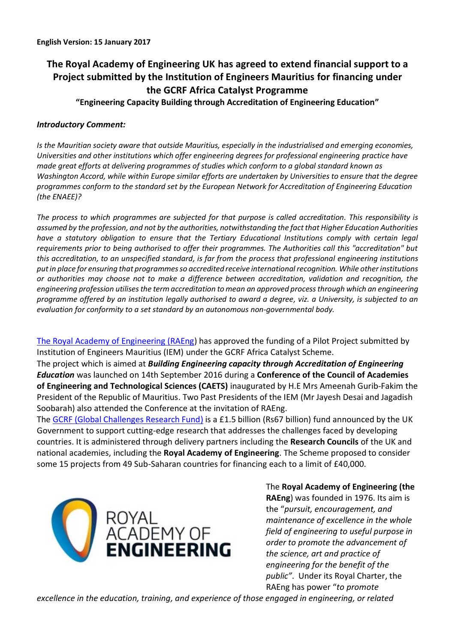# **The Royal Academy of Engineering UK has agreed to extend financial support to a Project submitted by the Institution of Engineers Mauritius for financing under the GCRF Africa Catalyst Programme**

**"Engineering Capacity Building through Accreditation of Engineering Education"**

## *Introductory Comment:*

*Is the Mauritian society aware that outside Mauritius, especially in the industrialised and emerging economies, Universities and other institutions which offer engineering degrees for professional engineering practice have made great efforts at delivering programmes of studies which conform to a global standard known as Washington Accord, while within Europe similar efforts are undertaken by Universities to ensure that the degree programmes conform to the standard set by the European Network for Accreditation of Engineering Education (the ENAEE)?*

*The process to which programmes are subjected for that purpose is called accreditation. This responsibility is assumed by the profession, and not by the authorities, notwithstanding the fact that Higher Education Authorities have a statutory obligation to ensure that the Tertiary Educational Institutions comply with certain legal requirements prior to being authorised to offer their programmes. The Authorities call this "accreditation" but this accreditation, to an unspecified standard, is far from the process that professional engineering institutions put in place for ensuring that programmes so accredited receive international recognition. While other institutions or authorities may choose not to make a difference between accreditation, validation and recognition, the engineering profession utilises the term accreditation to mean an approved processthrough which an engineering programme offered by an institution legally authorised to award a degree, viz. a University, is subjected to an evaluation for conformity to a set standard by an autonomous non-governmental body.*

[The Royal Academy of Engineering \(RAEng\)](http://www.raeng.org.uk/about-us) has approved the funding of a Pilot Project submitted by Institution of Engineers Mauritius (IEM) under the GCRF Africa Catalyst Scheme.

The project which is aimed at *Building Engineering capacity through Accreditation of Engineering Education* was launched on 14th September 2016 during a **Conference of the Council of Academies of Engineering and Technological Sciences (CAETS)** inaugurated by H.E Mrs Ameenah Gurib-Fakim the President of the Republic of Mauritius. Two Past Presidents of the IEM (Mr Jayesh Desai and Jagadish Soobarah) also attended the Conference at the invitation of RAEng.

The GCRF [\(Global Challenges Research Fund\)](http://www.rcuk.ac.uk/funding/gcrf/) is a £1.5 billion (Rs67 billion) fund announced by the UK Government to support cutting-edge research that addresses the challenges faced by developing countries. It is administered through delivery partners including the **Research Councils** of the UK and national academies, including the **Royal Academy of Engineering**. The Scheme proposed to consider some 15 projects from 49 Sub-Saharan countries for financing each to a limit of £40,000.



The **Royal Academy of Engineering (the RAEng**) was founded in 1976. Its aim is the "*pursuit, encouragement, and maintenance of excellence in the whole field of engineering to useful purpose in order to promote the advancement of the science, art and practice of engineering for the benefit of the public"*. Under its Royal Charter, the RAEng has power "*to promote* 

*excellence in the education, training, and experience of those engaged in engineering, or related*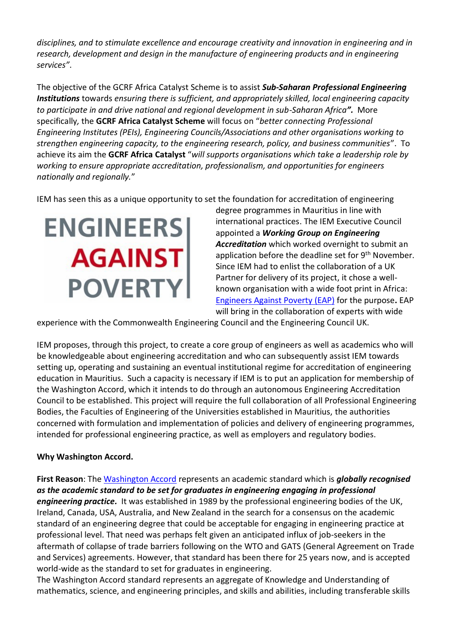*disciplines, and to stimulate excellence and encourage creativity and innovation in engineering and in research, development and design in the manufacture of engineering products and in engineering services"*.

The objective of the GCRF Africa Catalyst Scheme is to assist *Sub-Saharan Professional Engineering Institutions* towards *ensuring there is sufficient, and appropriately skilled, local engineering capacity to participate in and drive national and regional development in sub-Saharan Africa".* More specifically*,* the **GCRF Africa Catalyst Scheme** will focus on "*better connecting Professional Engineering Institutes (PEIs), Engineering Councils/Associations and other organisations working to strengthen engineering capacity, to the engineering research, policy, and business communities*".To achieve its aim the **GCRF Africa Catalyst** "*will supports organisations which take a leadership role by working to ensure appropriate accreditation, professionalism, and opportunities for engineers nationally and regionally.*"

IEM has seen this as a unique opportunity to set the foundation for accreditation of engineering

**ENGINEERS AGAINST POVERTY** 

degree programmes in Mauritius in line with international practices. The IEM Executive Council appointed a *Working Group on Engineering Accreditation* which worked overnight to submit an application before the deadline set for 9<sup>th</sup> November. Since IEM had to enlist the collaboration of a UK Partner for delivery of its project, it chose a wellknown organisation with a wide foot print in Africa: [Engineers Against Poverty](http://www.engineersagainstpoverty.org/home) (EAP) for the purpose**.** EAP will bring in the collaboration of experts with wide

experience with the Commonwealth Engineering Council and the Engineering Council UK.

IEM proposes, through this project, to create a core group of engineers as well as academics who will be knowledgeable about engineering accreditation and who can subsequently assist IEM towards setting up, operating and sustaining an eventual institutional regime for accreditation of engineering education in Mauritius. Such a capacity is necessary if IEM is to put an application for membership of the Washington Accord, which it intends to do through an autonomous Engineering Accreditation Council to be established. This project will require the full collaboration of all Professional Engineering Bodies, the Faculties of Engineering of the Universities established in Mauritius, the authorities concerned with formulation and implementation of policies and delivery of engineering programmes, intended for professional engineering practice, as well as employers and regulatory bodies.

### **Why Washington Accord.**

**First Reason**: The [Washington Accord](http://www.ieagreements.org/accords/washington/) represents an academic standard which is *globally recognised as the academic standard to be set for graduates in engineering engaging in professional engineering practice.* It was established in 1989 by the professional engineering bodies of the UK, Ireland, Canada, USA, Australia, and New Zealand in the search for a consensus on the academic standard of an engineering degree that could be acceptable for engaging in engineering practice at professional level. That need was perhaps felt given an anticipated influx of job-seekers in the aftermath of collapse of trade barriers following on the WTO and GATS (General Agreement on Trade and Services) agreements. However, that standard has been there for 25 years now, and is accepted world-wide as the standard to set for graduates in engineering.

The Washington Accord standard represents an aggregate of Knowledge and Understanding of mathematics, science, and engineering principles, and skills and abilities, including transferable skills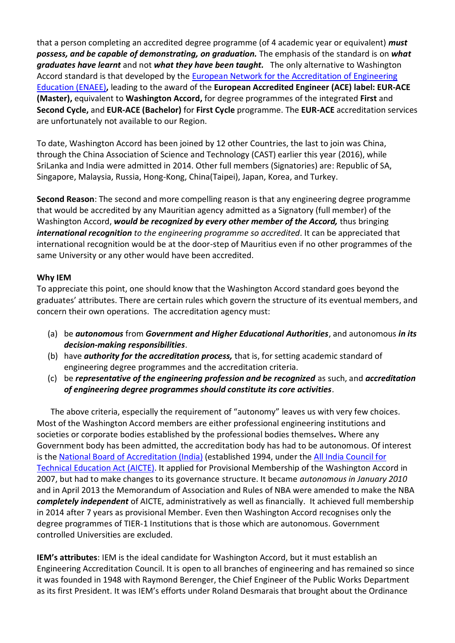that a person completing an accredited degree programme (of 4 academic year or equivalent) *must possess, and be capable of demonstrating, on graduation.* The emphasis of the standard is on *what graduates have learnt* and not *what they have been taught.* The only alternative to Washington Accord standard is that developed by the [European Network for the Accreditation of Engineering](http://www.enaee.eu/)  [Education \(ENAEE\)](http://www.enaee.eu/)**,** leading to the award of the **European Accredited Engineer (ACE) label: EUR-ACE (Master),** equivalent to **Washington Accord,** for degree programmes of the integrated **First** and **Second Cycle,** and **EUR-ACE (Bachelor)** for **First Cycle** programme. The **EUR-ACE** accreditation services are unfortunately not available to our Region.

To date, Washington Accord has been joined by 12 other Countries, the last to join was China, through the China Association of Science and Technology (CAST) earlier this year (2016), while SriLanka and India were admitted in 2014. Other full members (Signatories) are: Republic of SA, Singapore, Malaysia, Russia, Hong-Kong, China(Taipei), Japan, Korea, and Turkey.

**Second Reason**: The second and more compelling reason is that any engineering degree programme that would be accredited by any Mauritian agency admitted as a Signatory (full member) of the Washington Accord, *would be recognized by every other member of the Accord,* thus bringing *international recognition to the engineering programme so accredited*. It can be appreciated that international recognition would be at the door-step of Mauritius even if no other programmes of the same University or any other would have been accredited.

### **Why IEM**

To appreciate this point, one should know that the Washington Accord standard goes beyond the graduates' attributes. There are certain rules which govern the structure of its eventual members, and concern their own operations. The accreditation agency must:

- (a) be *autonomous* from *Government and Higher Educational Authorities*, and autonomous *in its decision-making responsibilities*.
- (b) have *authority for the accreditation process,* that is, for setting academic standard of engineering degree programmes and the accreditation criteria.
- (c) be *representative of the engineering profession and be recognized* as such, and *accreditation of engineering degree programmes should constitute its core activities*.

The above criteria, especially the requirement of "autonomy" leaves us with very few choices. Most of the Washington Accord members are either professional engineering institutions and societies or corporate bodies established by the professional bodies themselves*.* Where any Government body has been admitted, the accreditation body has had to be autonomous. Of interest is the [National Board of Accreditation \(India\)](http://www.nbaind.org/views/Home.aspx) (established 1994, under the All India Council for [Technical Education Act \(AICTE\).](http://www.aicte-india.org/aboutus.php) It applied for Provisional Membership of the Washington Accord in 2007, but had to make changes to its governance structure. It became *autonomous in January 2010* and in April 2013 the Memorandum of Association and Rules of NBA were amended to make the NBA *completely independent* of AICTE, administratively as well as financially. It achieved full membership in 2014 after 7 years as provisional Member. Even then Washington Accord recognises only the degree programmes of TIER-1 Institutions that is those which are autonomous. Government controlled Universities are excluded.

**IEM's attributes**: IEM is the ideal candidate for Washington Accord, but it must establish an Engineering Accreditation Council. It is open to all branches of engineering and has remained so since it was founded in 1948 with Raymond Berenger, the Chief Engineer of the Public Works Department as its first President. It was IEM's efforts under Roland Desmarais that brought about the Ordinance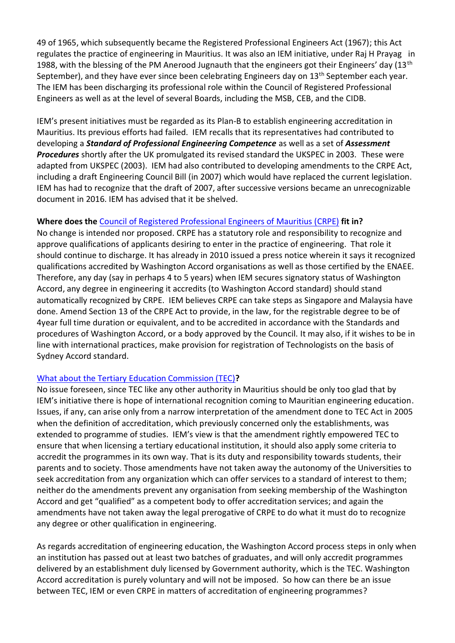49 of 1965, which subsequently became the Registered Professional Engineers Act (1967); this Act regulates the practice of engineering in Mauritius. It was also an IEM initiative, under Raj H Prayag in 1988, with the blessing of the PM Anerood Jugnauth that the engineers got their Engineers' day (13<sup>th</sup>) September), and they have ever since been celebrating Engineers day on 13<sup>th</sup> September each year. The IEM has been discharging its professional role within the Council of Registered Professional Engineers as well as at the level of several Boards, including the MSB, CEB, and the CIDB.

IEM's present initiatives must be regarded as its Plan-B to establish engineering accreditation in Mauritius. Its previous efforts had failed. IEM recalls that its representatives had contributed to developing a *Standard of Professional Engineering Competence* as well as a set of *Assessment Procedures* shortly after the UK promulgated its revised standard the UKSPEC in 2003. These were adapted from UKSPEC (2003). IEM had also contributed to developing amendments to the CRPE Act, including a draft Engineering Council Bill (in 2007) which would have replaced the current legislation. IEM has had to recognize that the draft of 2007, after successive versions became an unrecognizable document in 2016. IEM has advised that it be shelved.

### **Where does the** [Council of Registered Professional Engineers of Mauritius \(CRPE\)](http://www.crpemauritius.com/files/index.php) **fit in?**

No change is intended nor proposed. CRPE has a statutory role and responsibility to recognize and approve qualifications of applicants desiring to enter in the practice of engineering. That role it should continue to discharge. It has already in 2010 issued a press notice wherein it says it recognized qualifications accredited by Washington Accord organisations as well as those certified by the ENAEE. Therefore, any day (say in perhaps 4 to 5 years) when IEM secures signatory status of Washington Accord, any degree in engineering it accredits (to Washington Accord standard) should stand automatically recognized by CRPE. IEM believes CRPE can take steps as Singapore and Malaysia have done. Amend Section 13 of the CRPE Act to provide, in the law, for the registrable degree to be of 4year full time duration or equivalent, and to be accredited in accordance with the Standards and procedures of Washington Accord, or a body approved by the Council. It may also, if it wishes to be in line with international practices, make provision for registration of Technologists on the basis of Sydney Accord standard.

### [What about the Tertiary Education Commission \(TEC\)](http://tec.intnet.mu/)**?**

No issue foreseen, since TEC like any other authority in Mauritius should be only too glad that by IEM's initiative there is hope of international recognition coming to Mauritian engineering education. Issues, if any, can arise only from a narrow interpretation of the amendment done to TEC Act in 2005 when the definition of accreditation, which previously concerned only the establishments, was extended to programme of studies. IEM's view is that the amendment rightly empowered TEC to ensure that when licensing a tertiary educational institution, it should also apply some criteria to accredit the programmes in its own way. That is its duty and responsibility towards students, their parents and to society. Those amendments have not taken away the autonomy of the Universities to seek accreditation from any organization which can offer services to a standard of interest to them; neither do the amendments prevent any organisation from seeking membership of the Washington Accord and get "qualified" as a competent body to offer accreditation services; and again the amendments have not taken away the legal prerogative of CRPE to do what it must do to recognize any degree or other qualification in engineering.

As regards accreditation of engineering education, the Washington Accord process steps in only when an institution has passed out at least two batches of graduates, and will only accredit programmes delivered by an establishment duly licensed by Government authority, which is the TEC. Washington Accord accreditation is purely voluntary and will not be imposed. So how can there be an issue between TEC, IEM or even CRPE in matters of accreditation of engineering programmes?